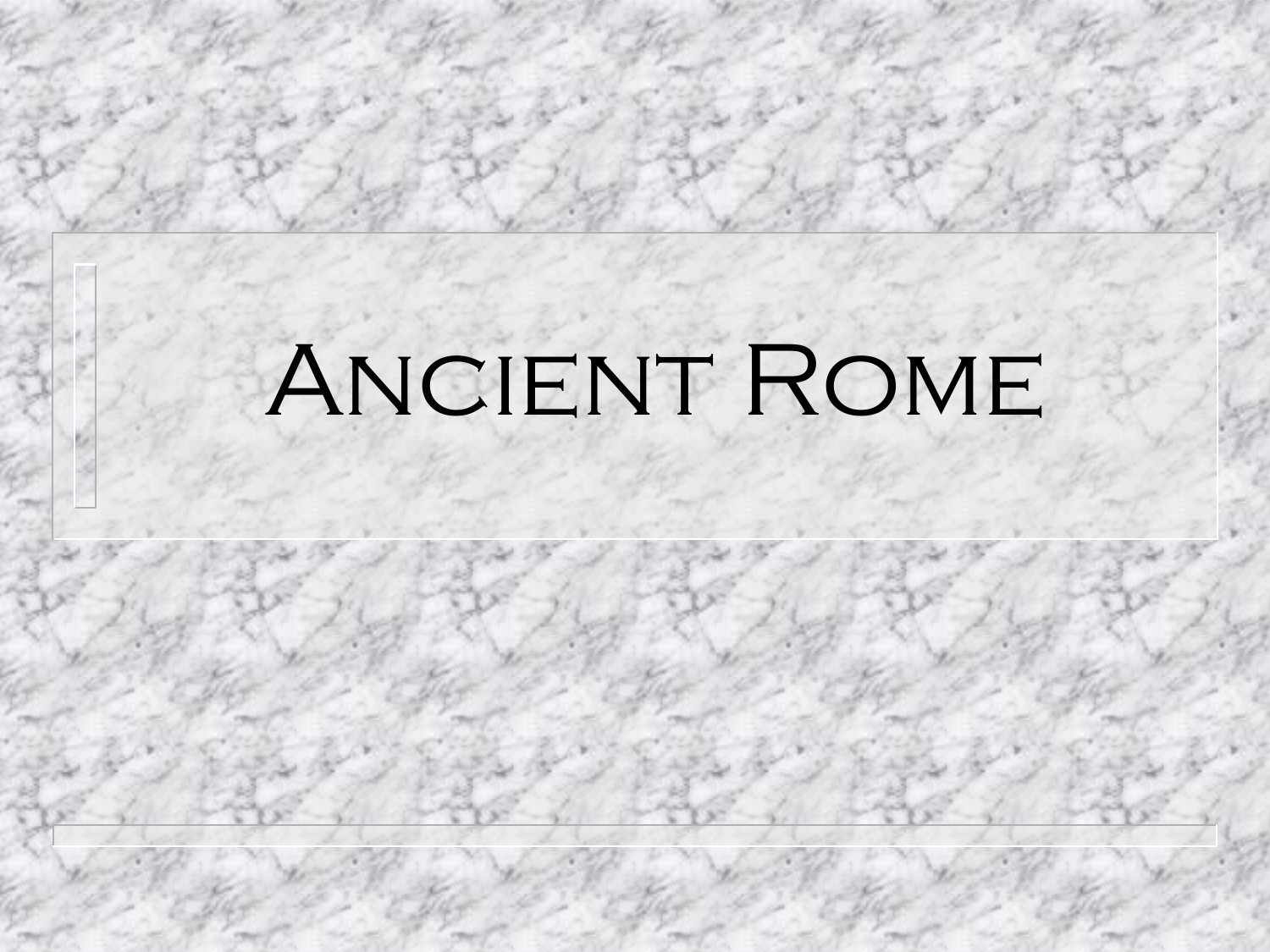# ANCIENT ROME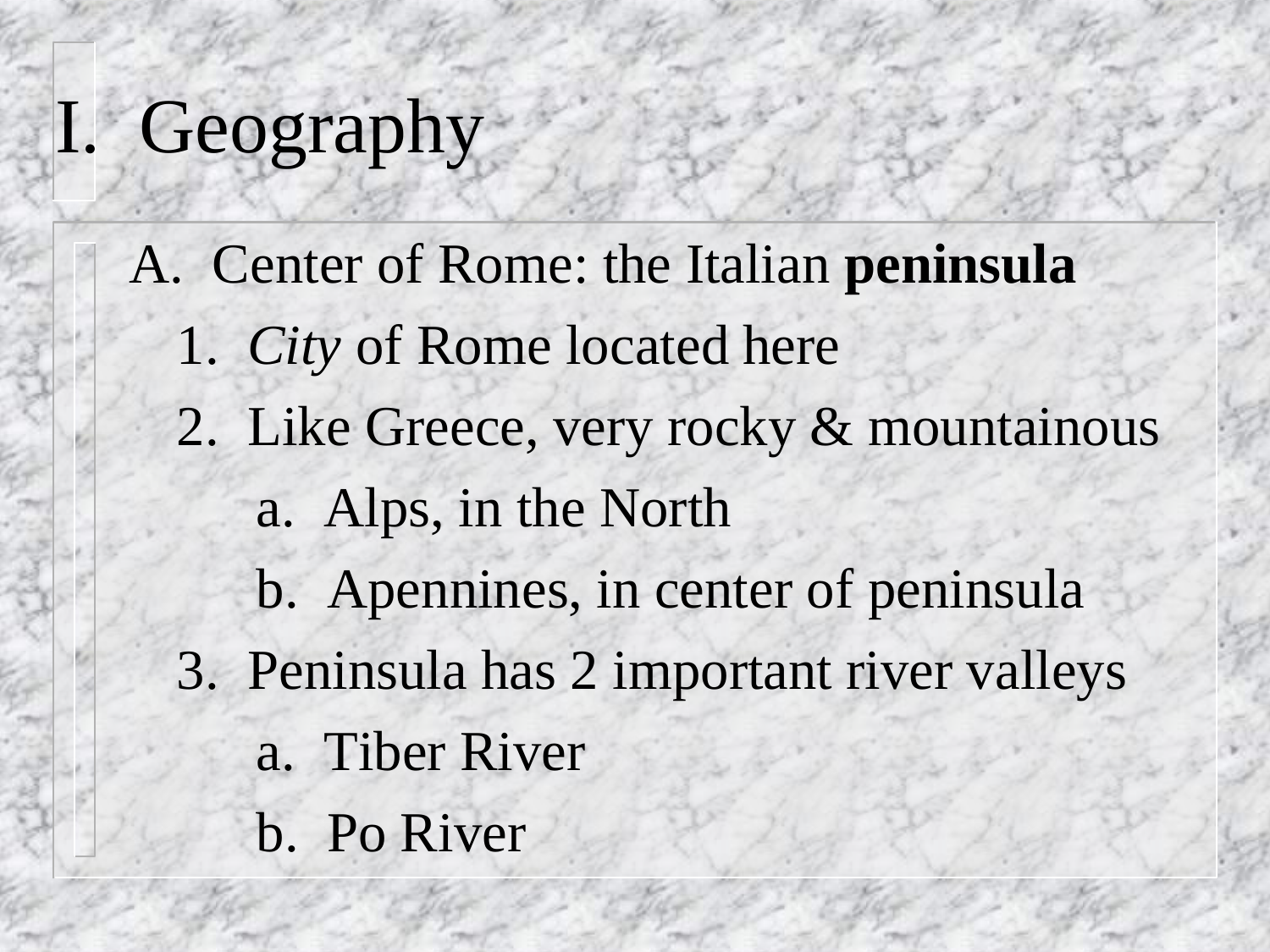### I. Geography

A. Center of Rome: the Italian **peninsula** 1. *City* of Rome located here 2. Like Greece, very rocky & mountainous a. Alps, in the North b. Apennines, in center of peninsula 3. Peninsula has 2 important river valleys a. Tiber River b. Po River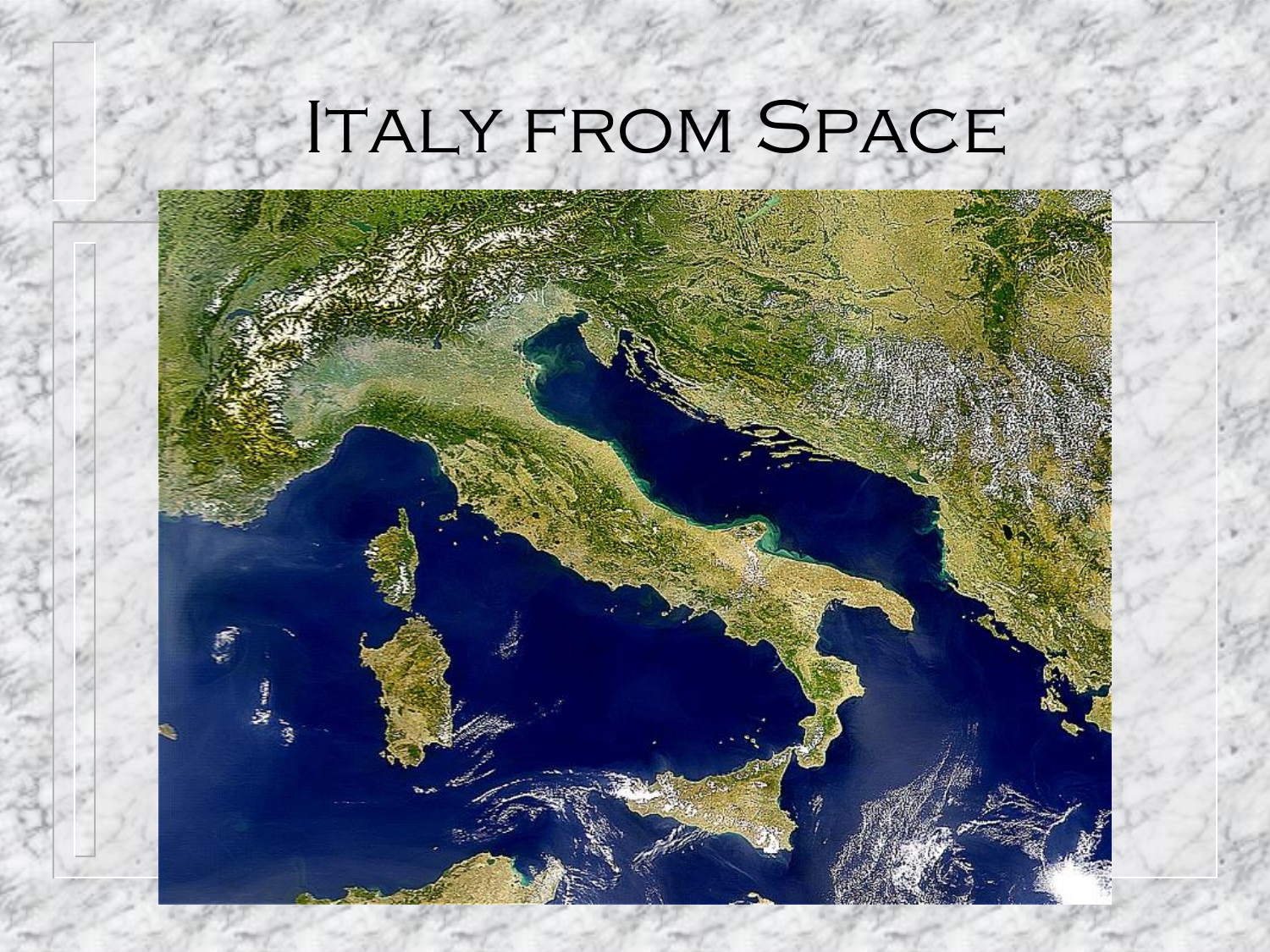## Italy from Space

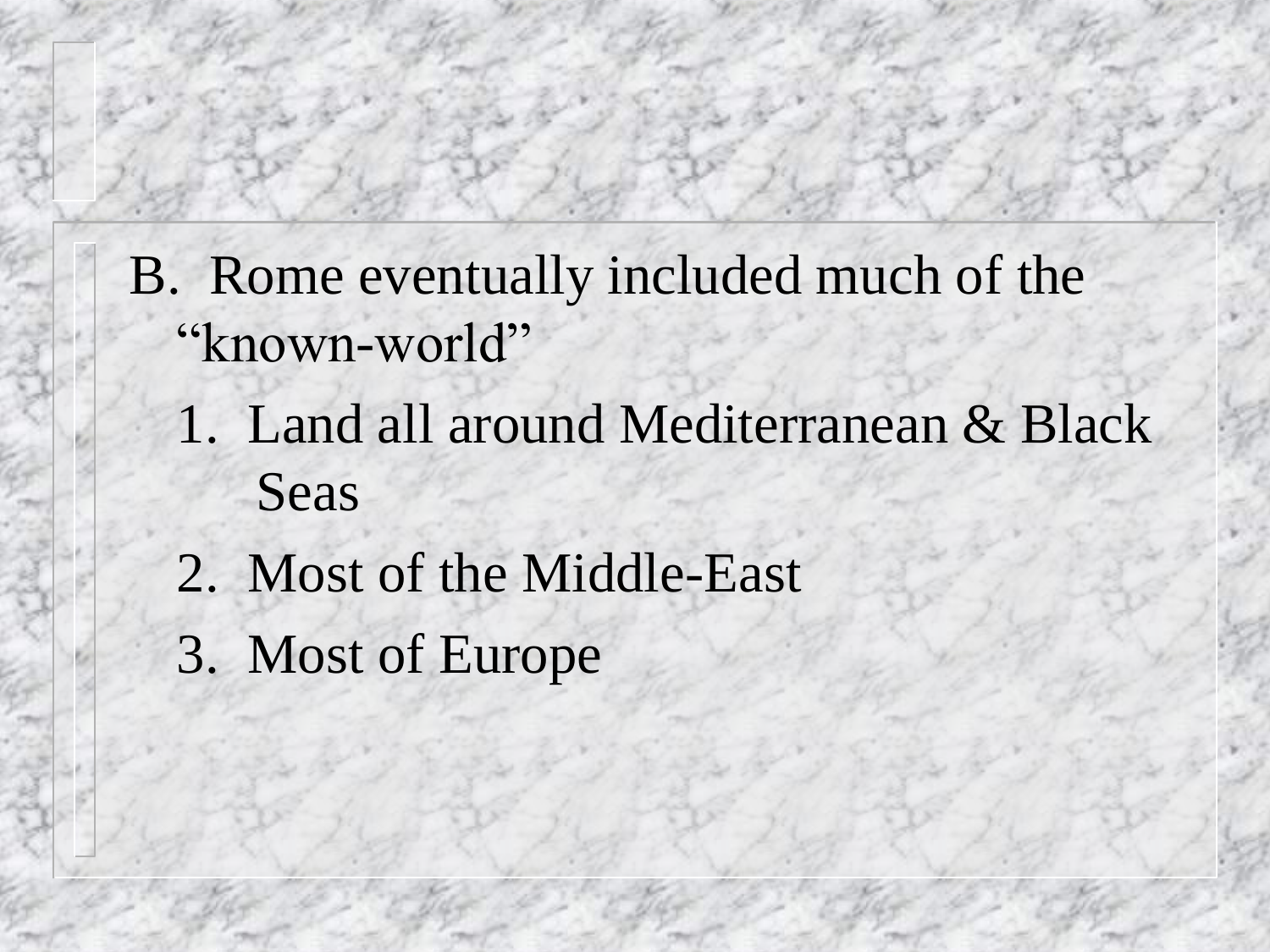- B. Rome eventually included much of the "known-world"
	- 1. Land all around Mediterranean & Black Seas
	- 2. Most of the Middle-East
	- 3. Most of Europe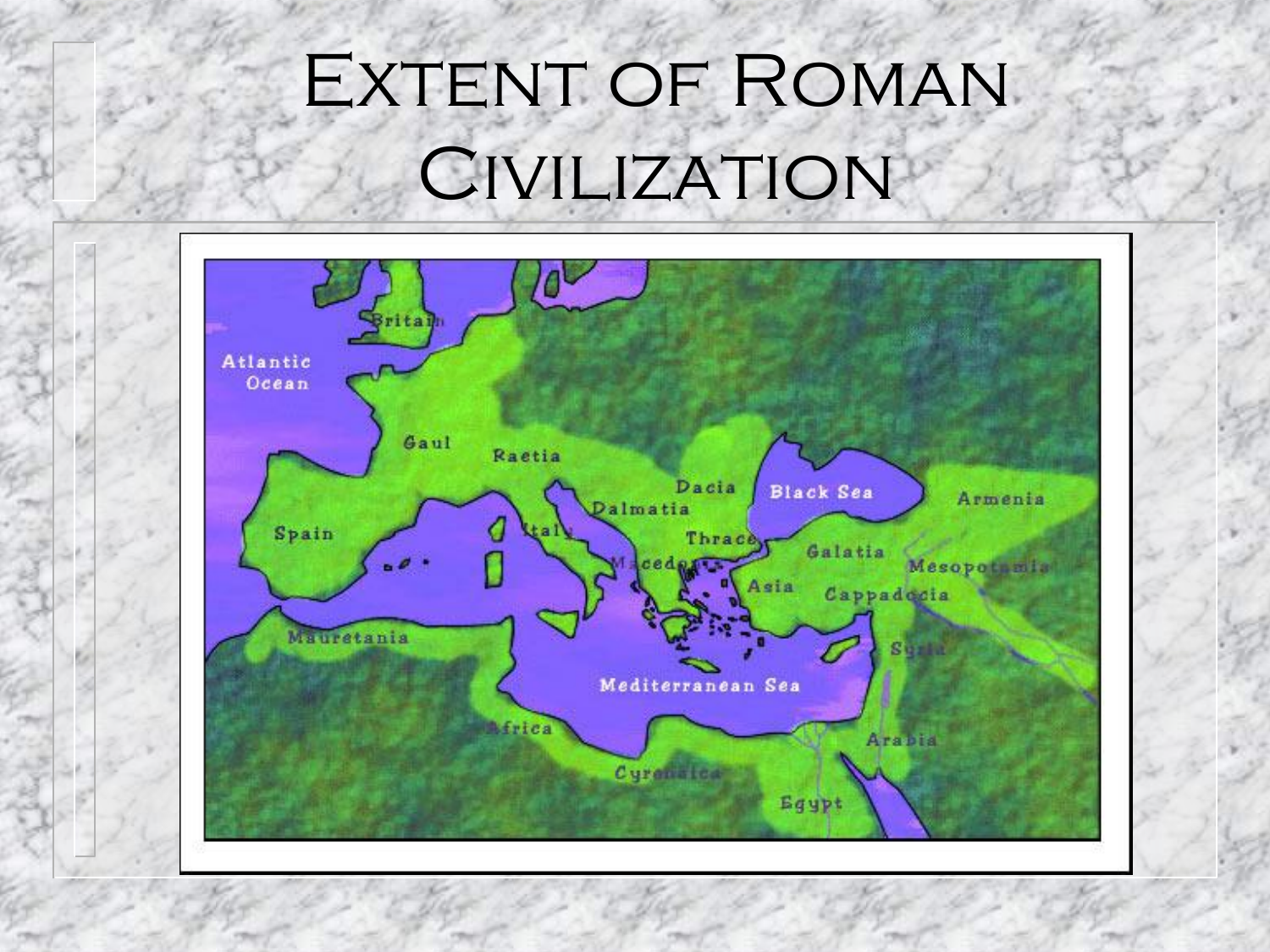### EXTENT OF ROMAN **CIVILIZATION**

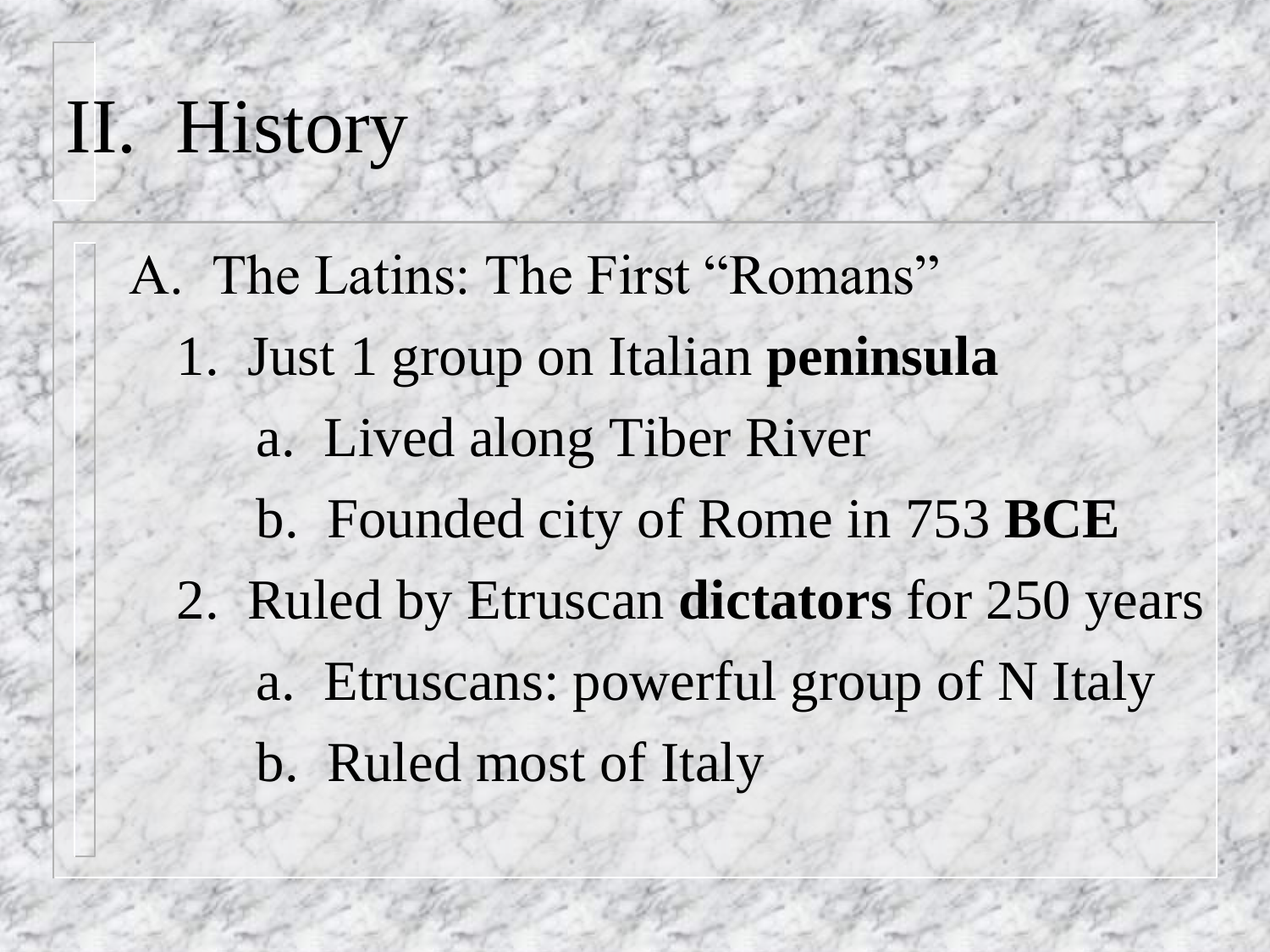### II. History

A. The Latins: The First "Romans" 1. Just 1 group on Italian **peninsula** a. Lived along Tiber River b. Founded city of Rome in 753 **BCE** 2. Ruled by Etruscan **dictators** for 250 years a. Etruscans: powerful group of N Italy b. Ruled most of Italy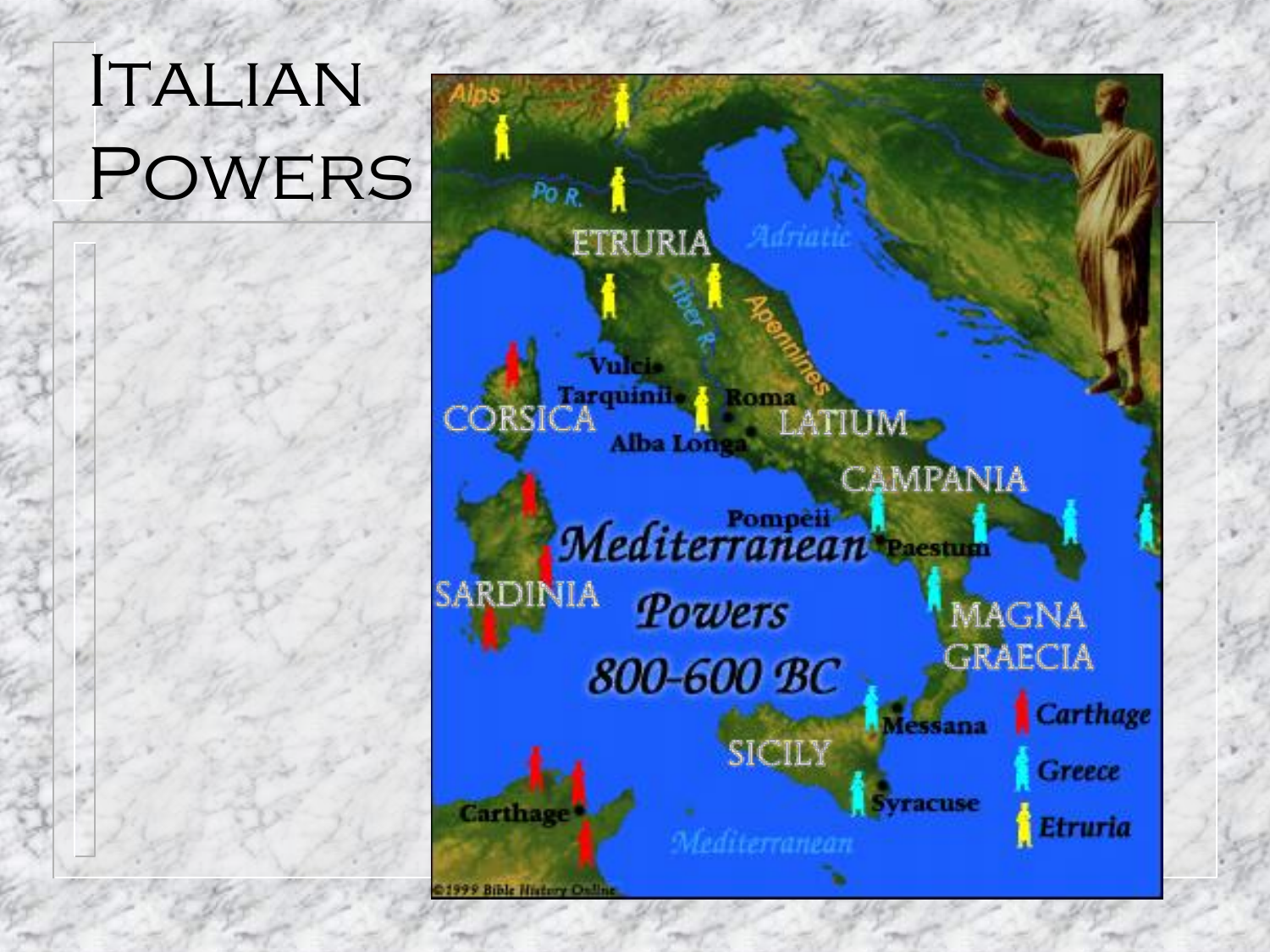### ITALIAN Powers

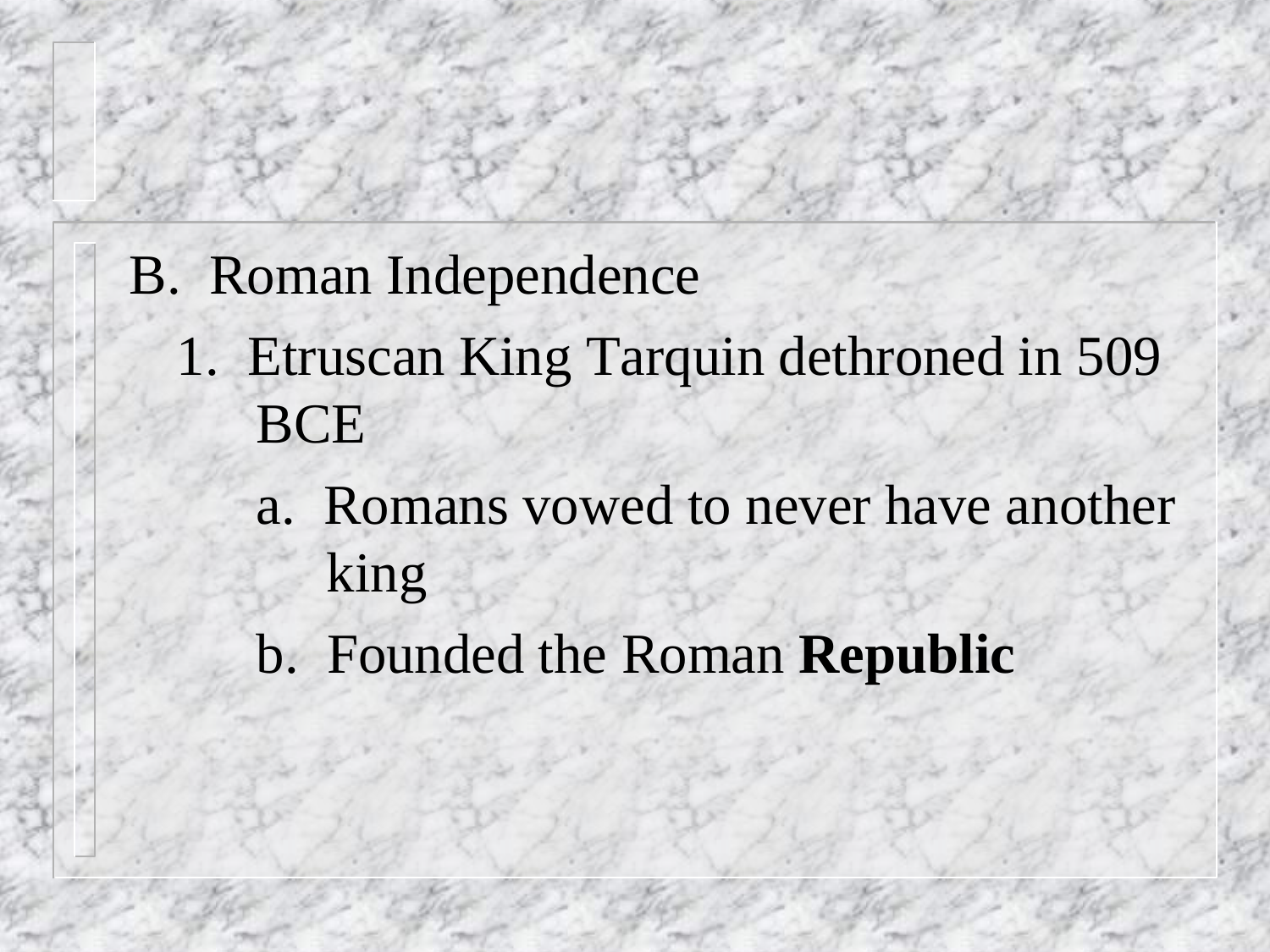- B. Roman Independence
	- 1. Etruscan King Tarquin dethroned in 509 **BCE** 
		- a. Romans vowed to never have another king
		- b. Founded the Roman **Republic**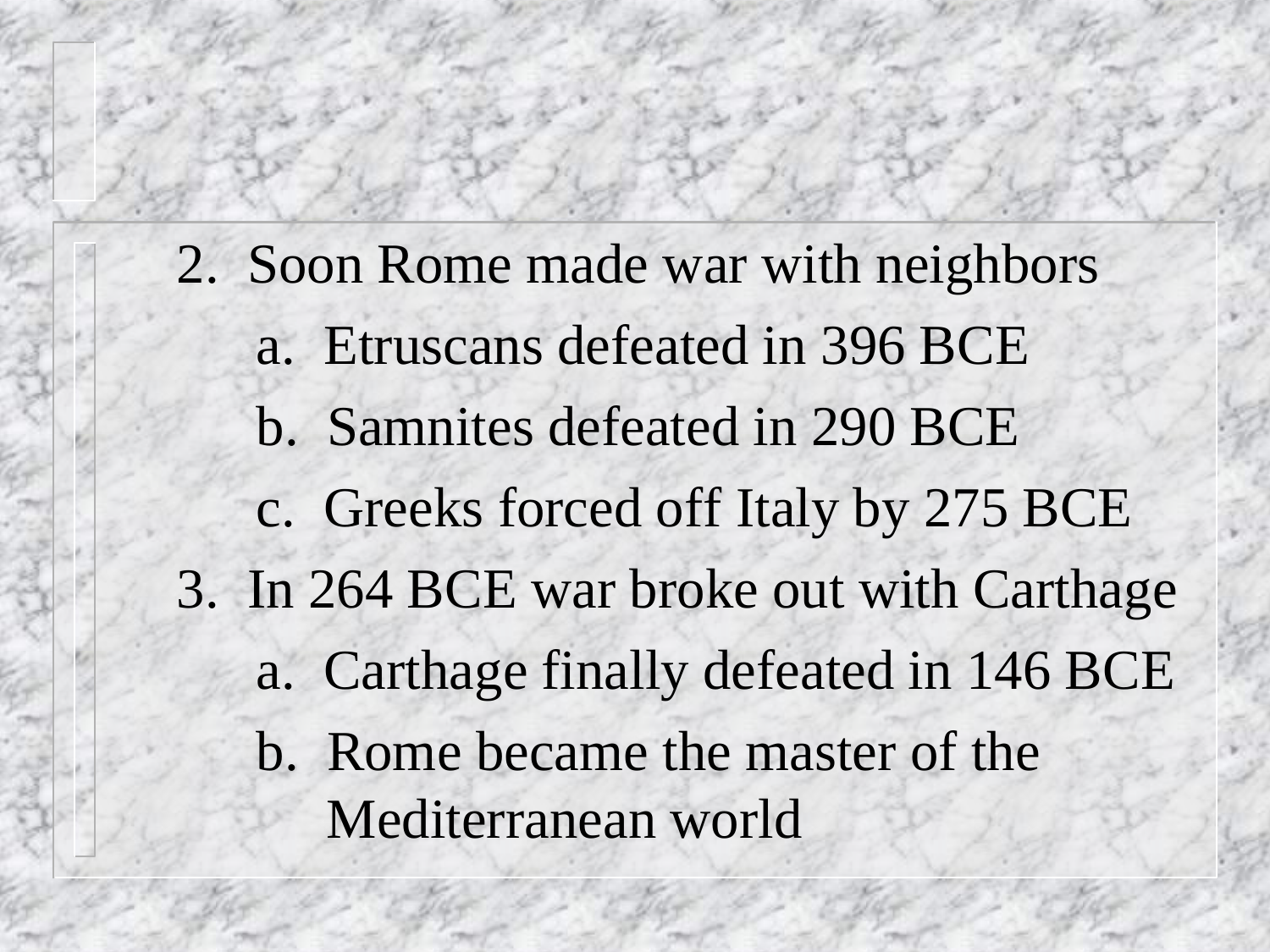2. Soon Rome made war with neighbors a. Etruscans defeated in 396 BCE b. Samnites defeated in 290 BCE c. Greeks forced off Italy by 275 BCE 3. In 264 BCE war broke out with Carthage a. Carthage finally defeated in 146 BCE b. Rome became the master of the Mediterranean world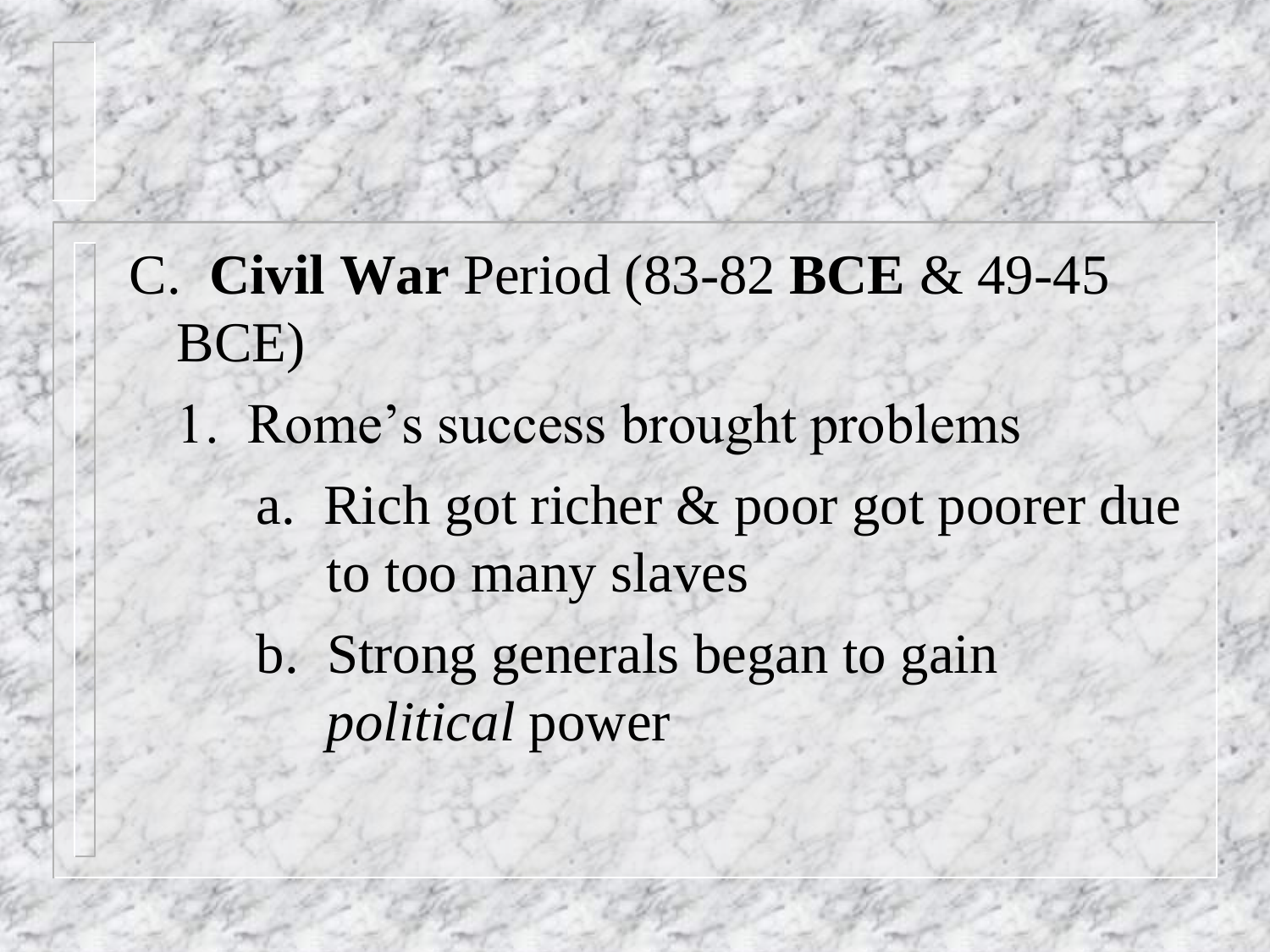#### C. **Civil War** Period (83-82 **BCE** & 49-45 BCE)

- 1. Rome's success brought problems
	- a. Rich got richer & poor got poorer due to too many slaves
	- b. Strong generals began to gain *political* power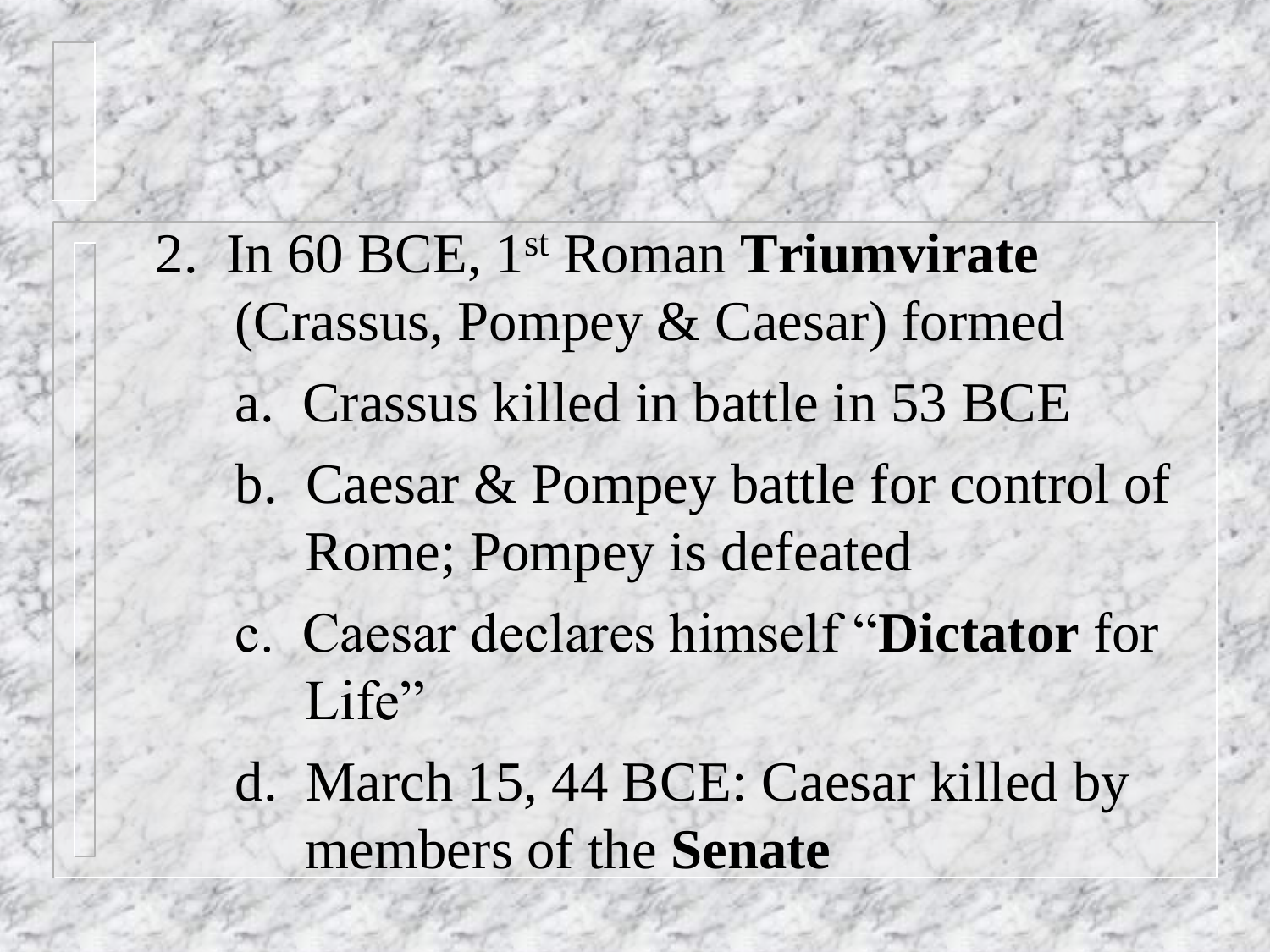- 2. In 60 BCE, 1st Roman **Triumvirate** (Crassus, Pompey & Caesar) formed
	- a. Crassus killed in battle in 53 BCE
	- b. Caesar & Pompey battle for control of Rome; Pompey is defeated
	- c. Caesar declares himself "**Dictator** for Life"
	- d. March 15, 44 BCE: Caesar killed by members of the **Senate**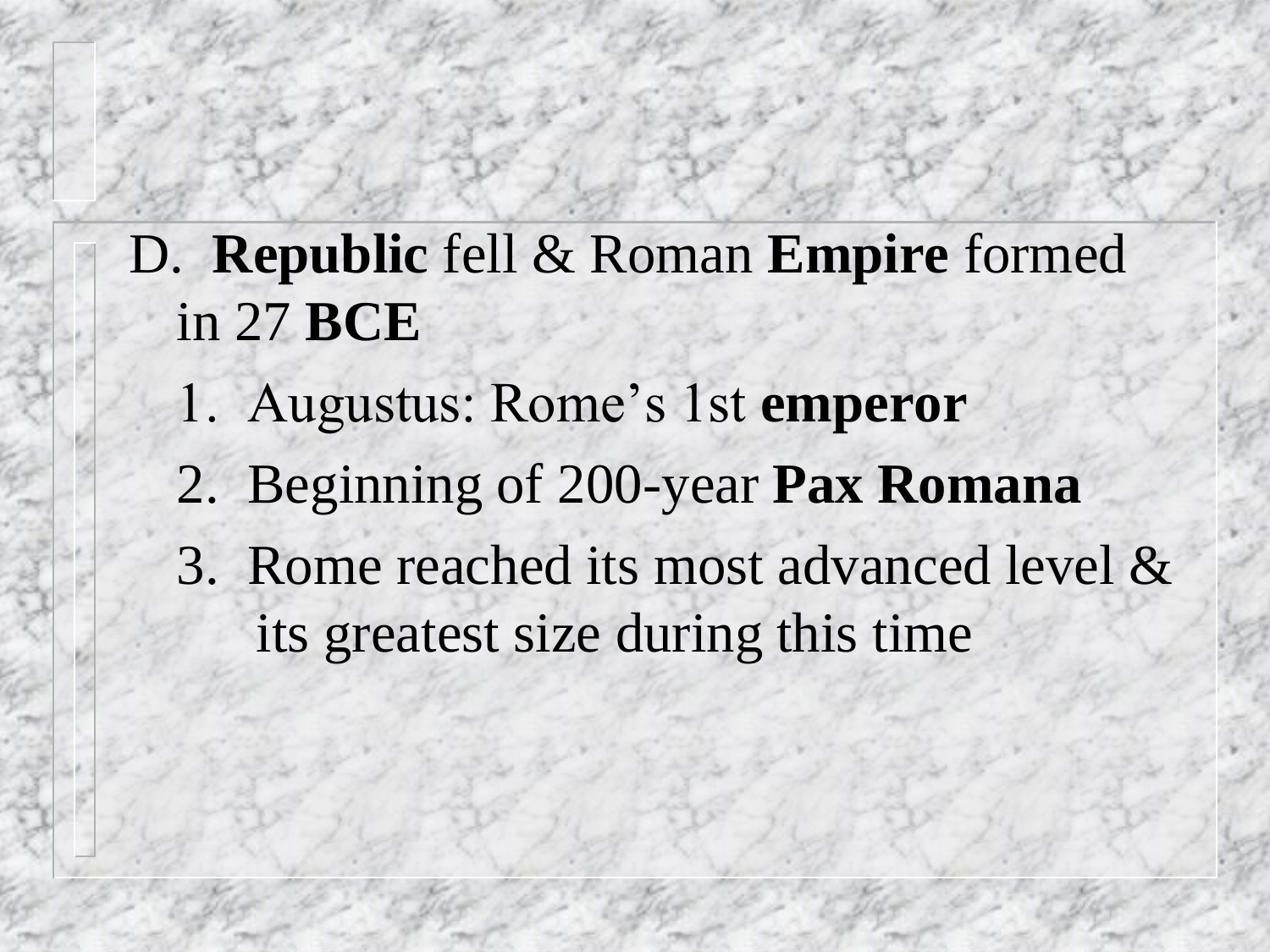- D. **Republic** fell & Roman **Empire** formed in 27 **BCE**
	- 1. Augustus: Rome's 1st **emperor**
	- 2. Beginning of 200-year **Pax Romana**
	- 3. Rome reached its most advanced level & its greatest size during this time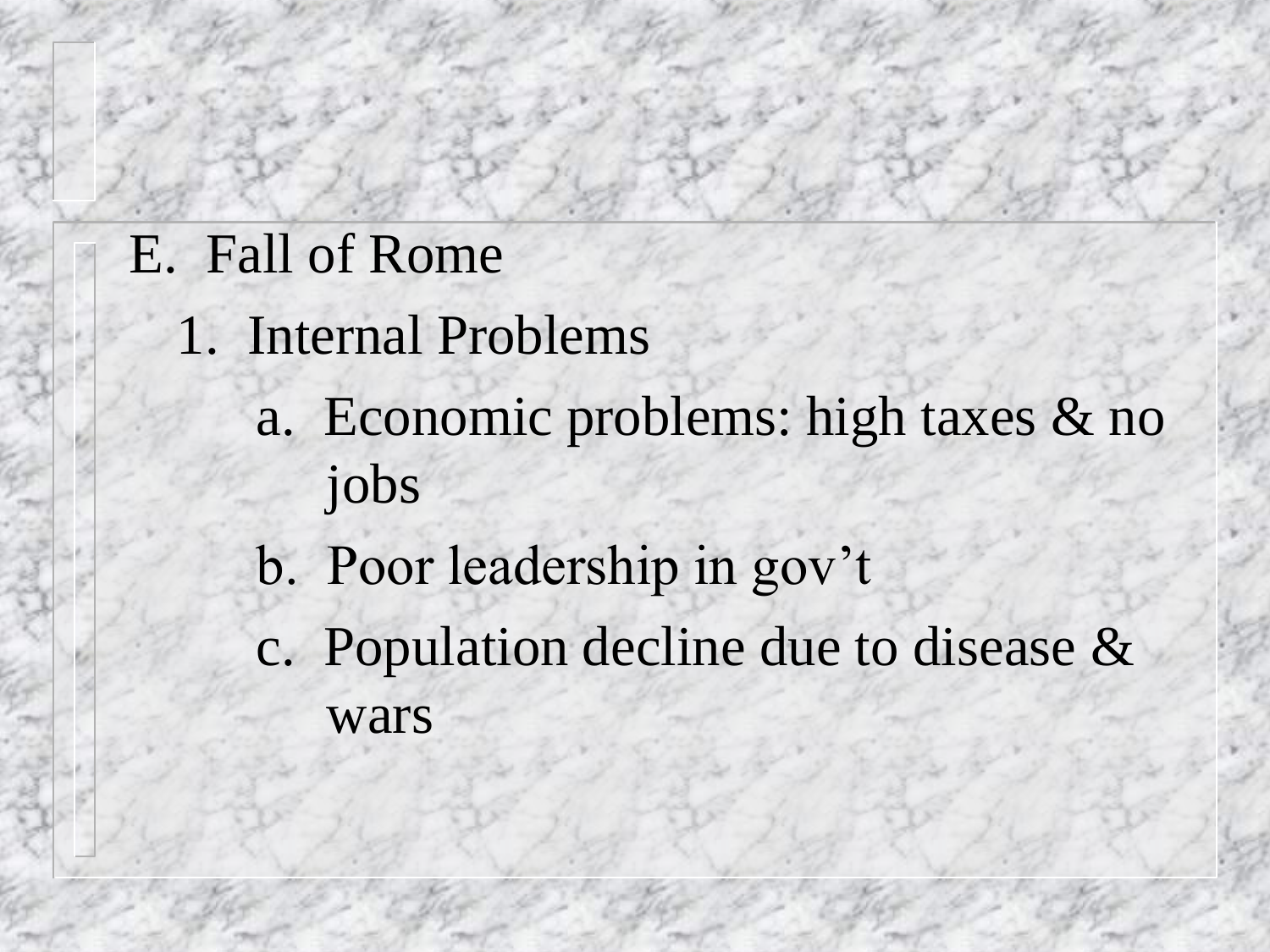#### E. Fall of Rome

- 1. Internal Problems
	- a. Economic problems: high taxes & no jobs
	- b. Poor leadership in gov't
	- c. Population decline due to disease & wars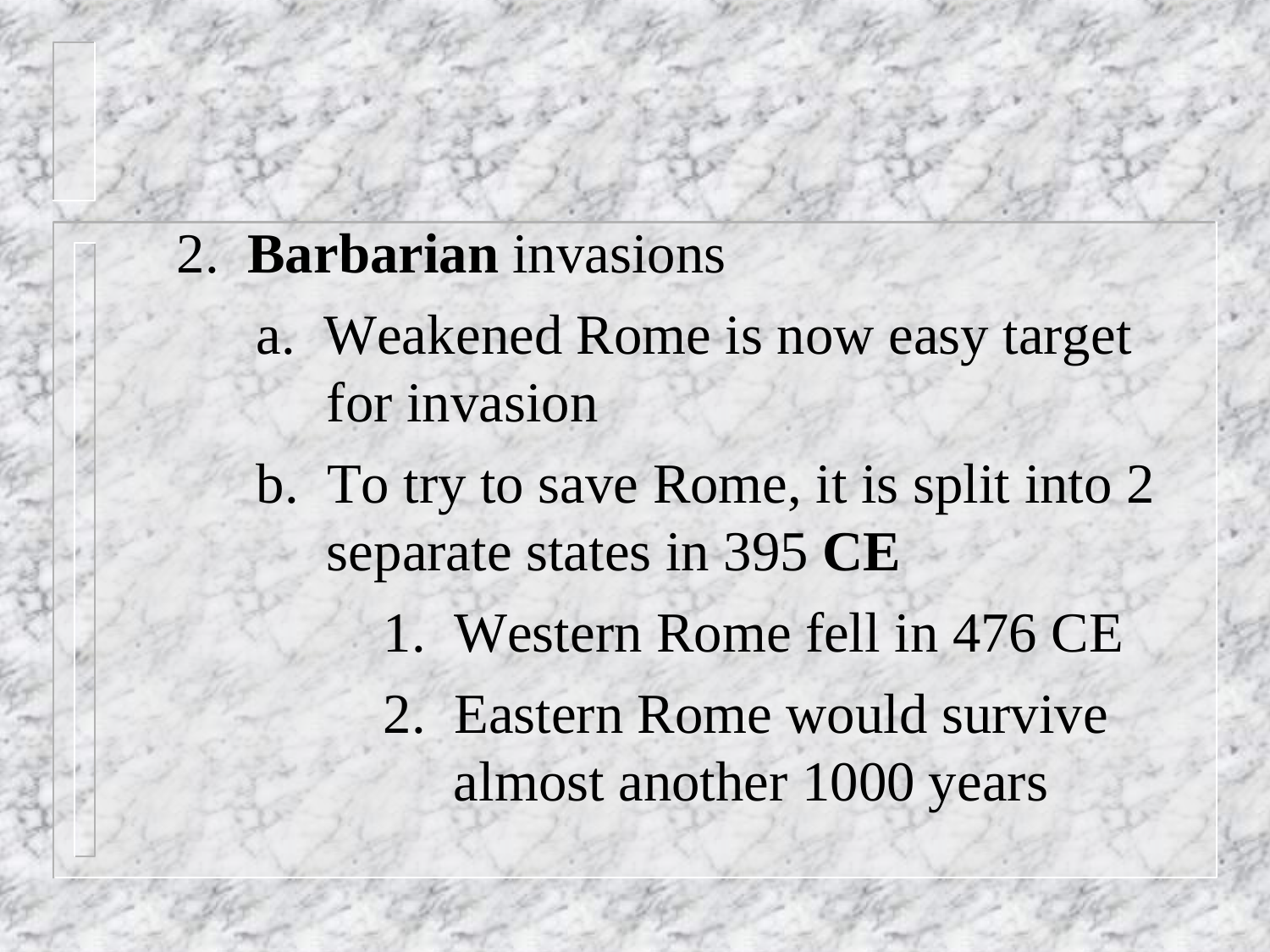#### 2. **Barbarian** invasions

- a. Weakened Rome is now easy target for invasion
- b. To try to save Rome, it is split into 2 separate states in 395 **CE** 
	- 1. Western Rome fell in 476 CE
	- 2. Eastern Rome would survive almost another 1000 years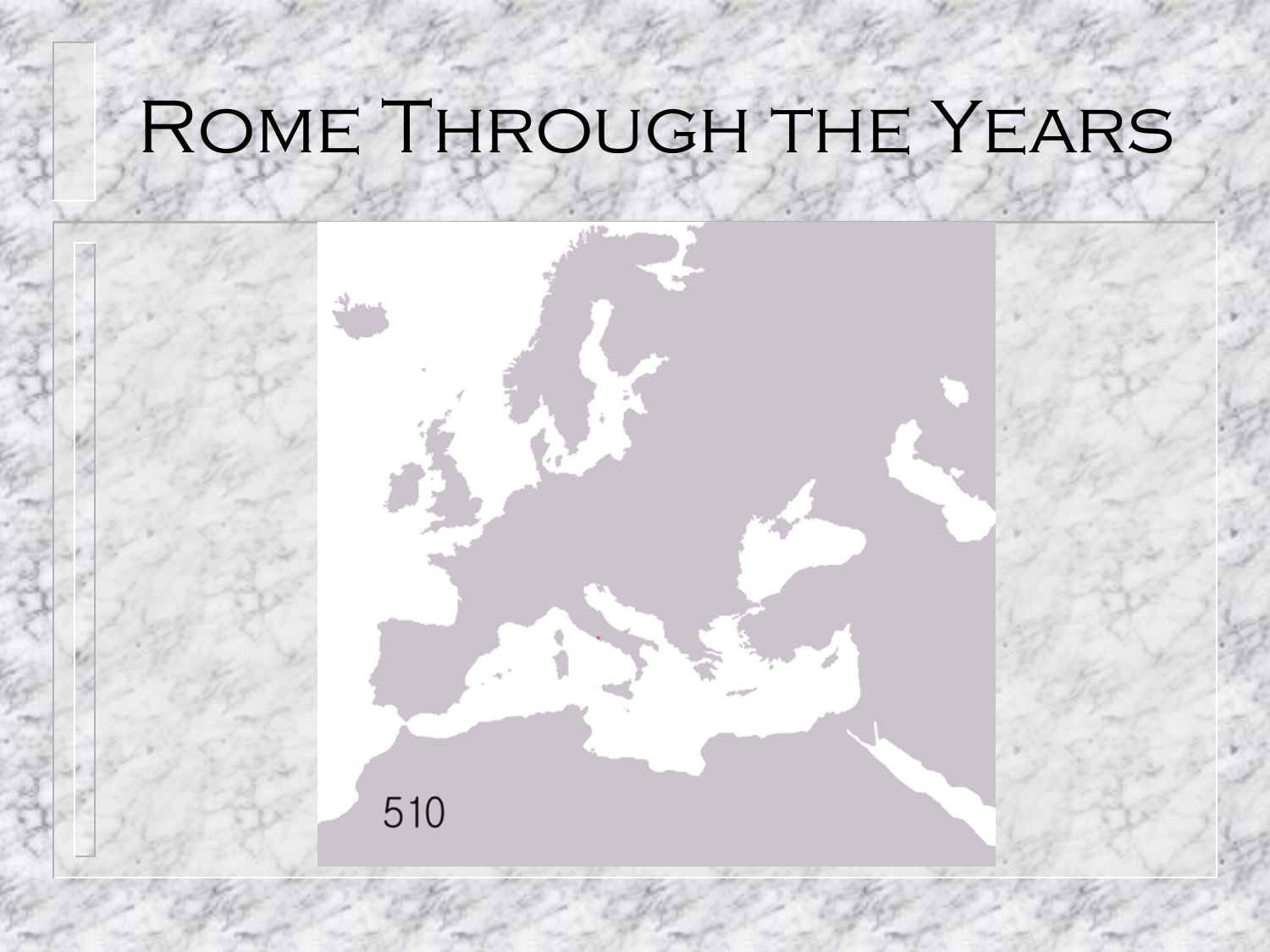## Rome Through the Years

510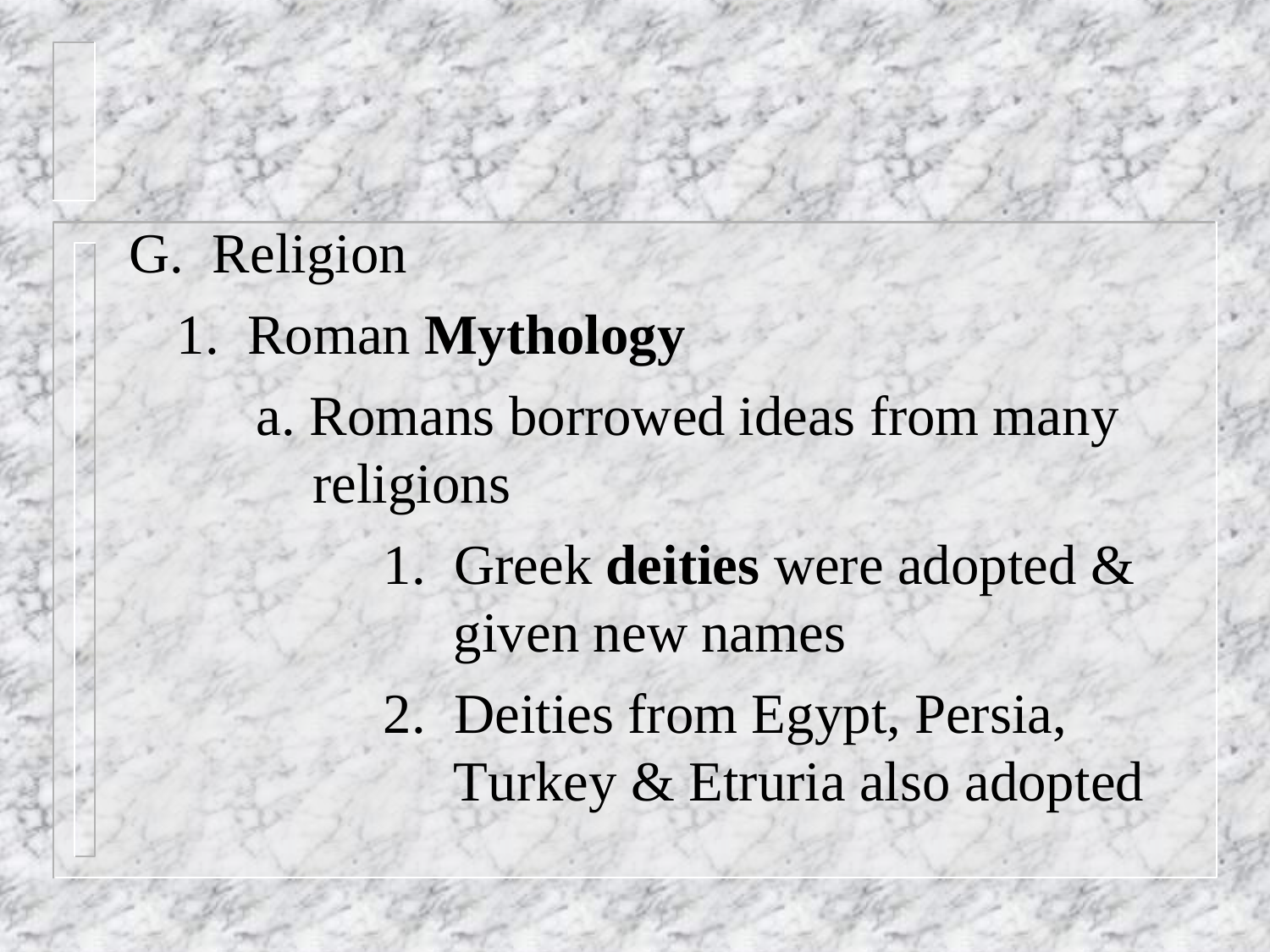- G. Religion
	- 1. Roman **Mythology**
		- a. Romans borrowed ideas from many religions
			- 1. Greek **deities** were adopted & given new names
			- 2. Deities from Egypt, Persia, Turkey & Etruria also adopted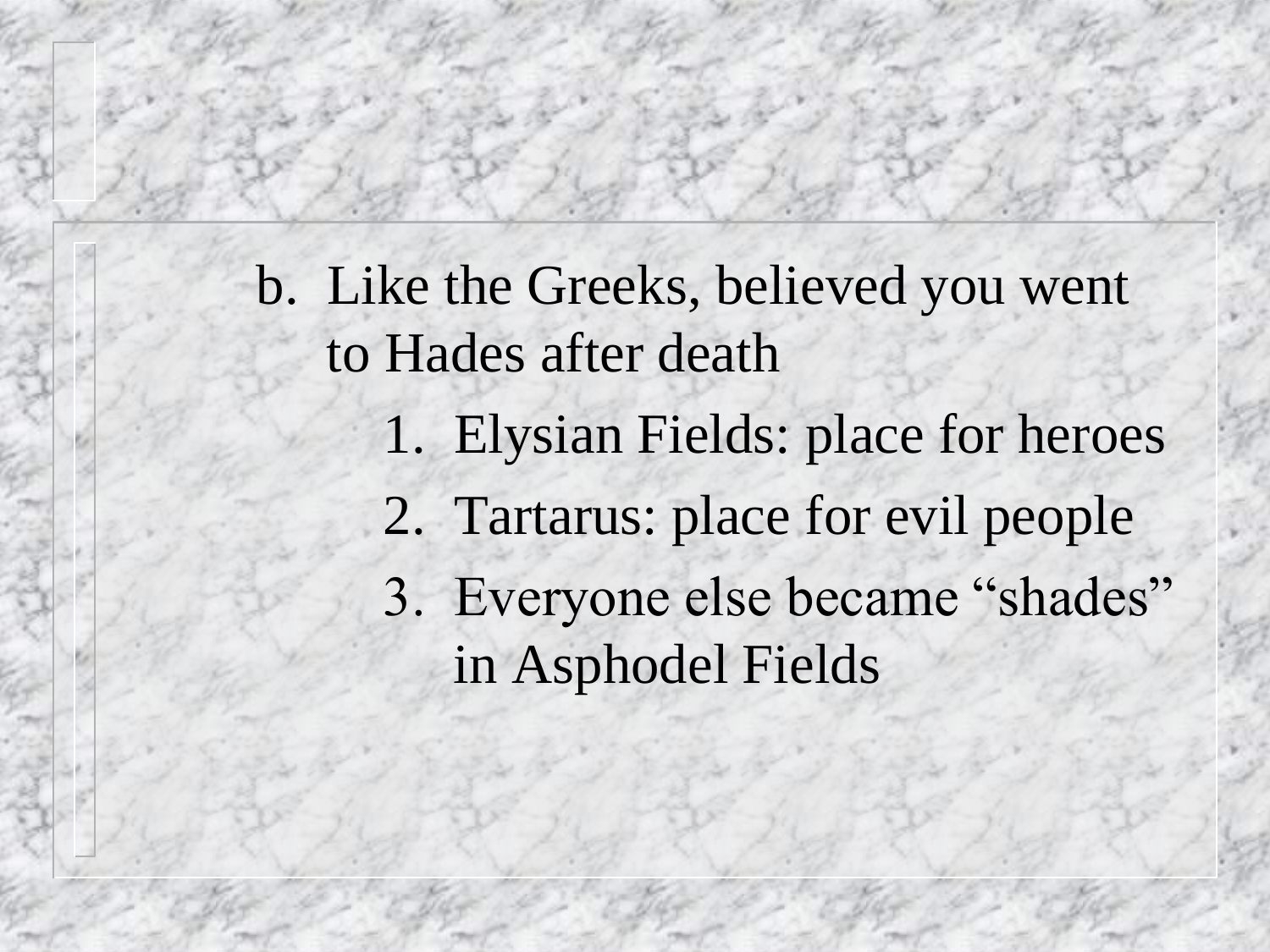b. Like the Greeks, believed you went to Hades after death

- 1. Elysian Fields: place for heroes
- 2. Tartarus: place for evil people

3. Everyone else became "shades" in Asphodel Fields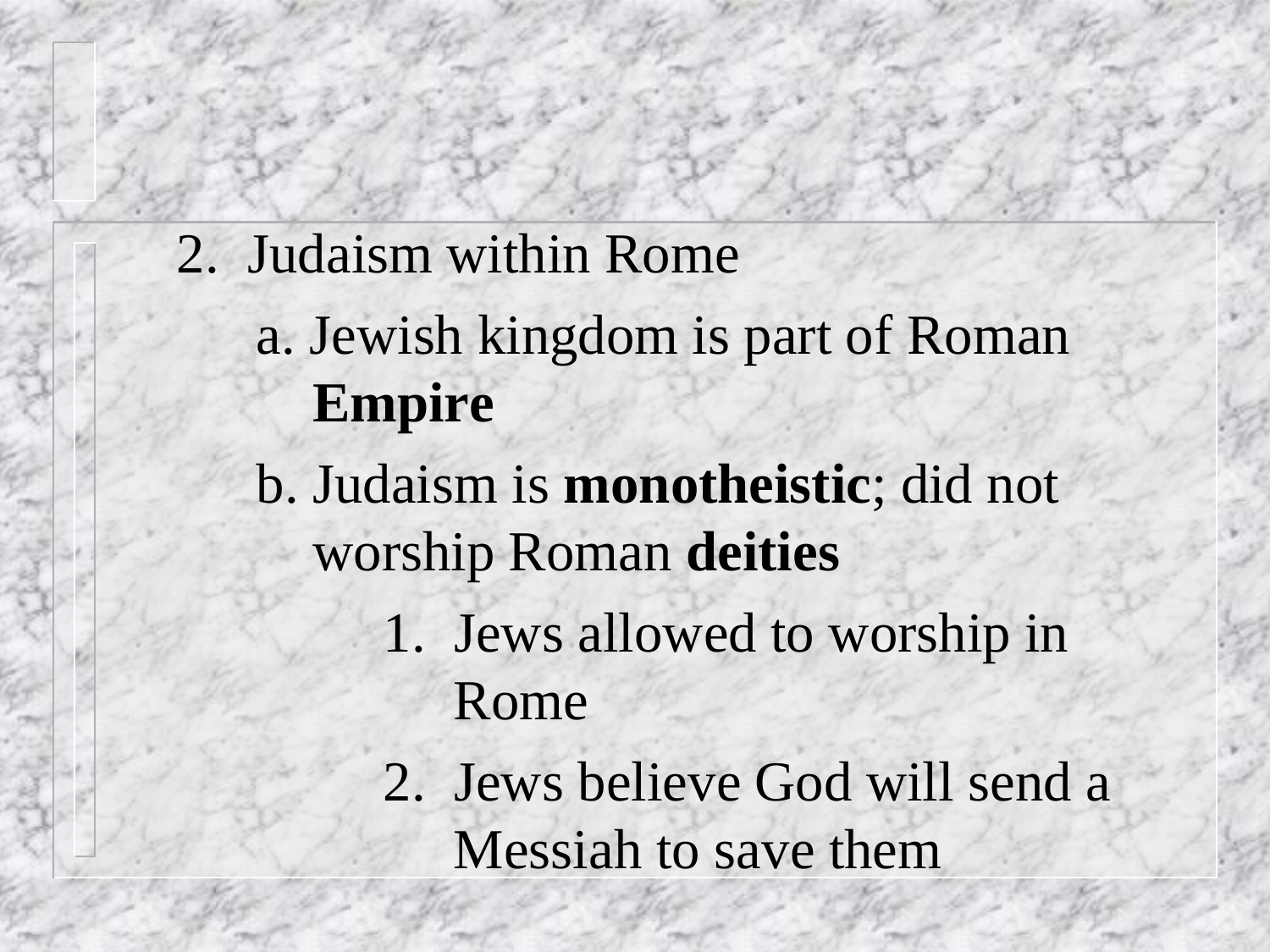2. Judaism within Rome

#### a. Jewish kingdom is part of Roman **Empire**

- b. Judaism is **monotheistic**; did not worship Roman **deities**
	- 1. Jews allowed to worship in Rome
	- 2. Jews believe God will send a Messiah to save them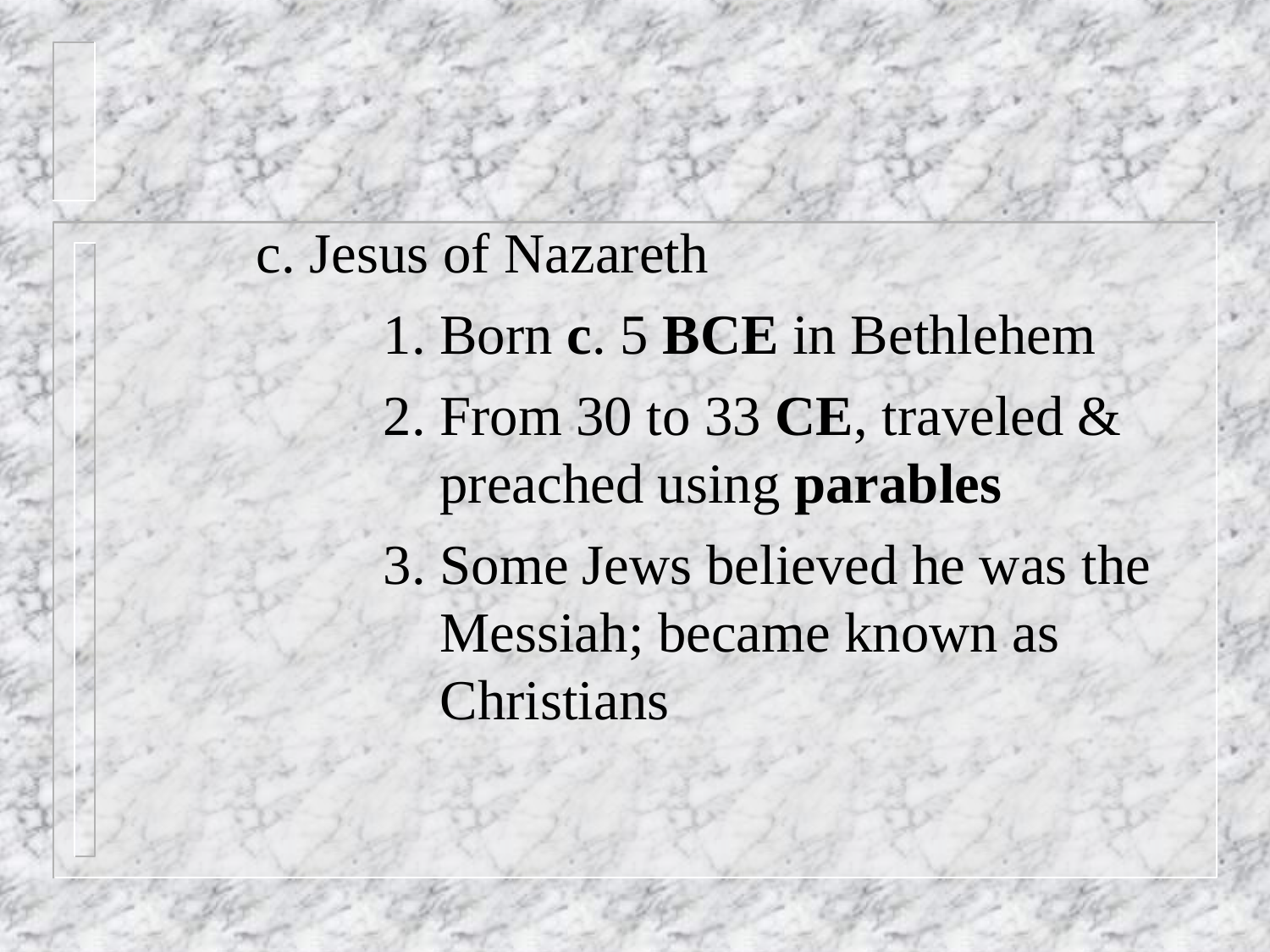#### c. Jesus of Nazareth

- 1. Born **c**. 5 **BCE** in Bethlehem 2. From 30 to 33 **CE**, traveled & preached using **parables**
- 3. Some Jews believed he was the Messiah; became known as Christians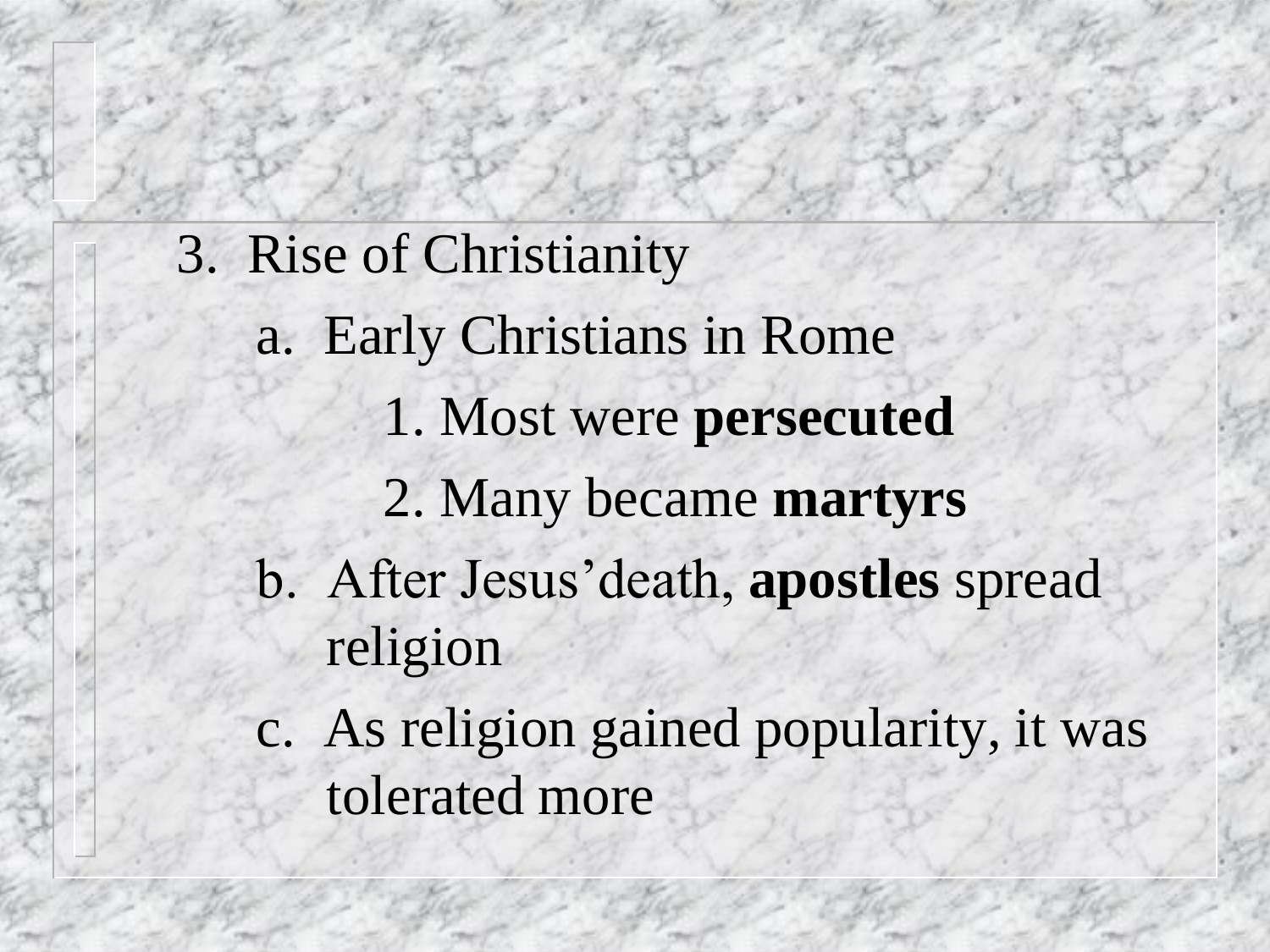3. Rise of Christianity a. Early Christians in Rome 1. Most were **persecuted** 2. Many became **martyrs** b. After Jesus'death, **apostles** spread religion

c. As religion gained popularity, it was tolerated more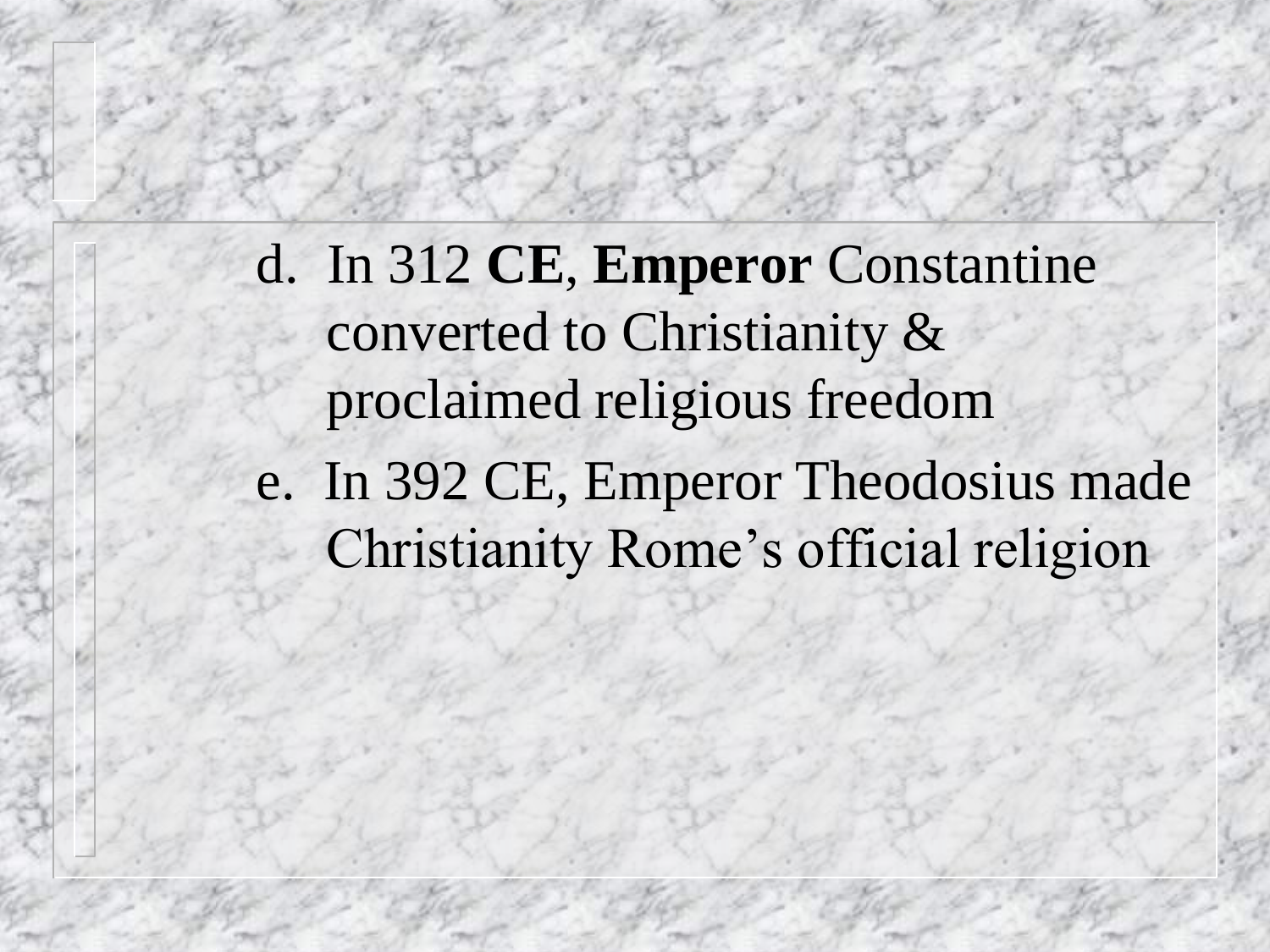d. In 312 **CE**, **Emperor** Constantine converted to Christianity & proclaimed religious freedom e. In 392 CE, Emperor Theodosius made Christianity Rome's official religion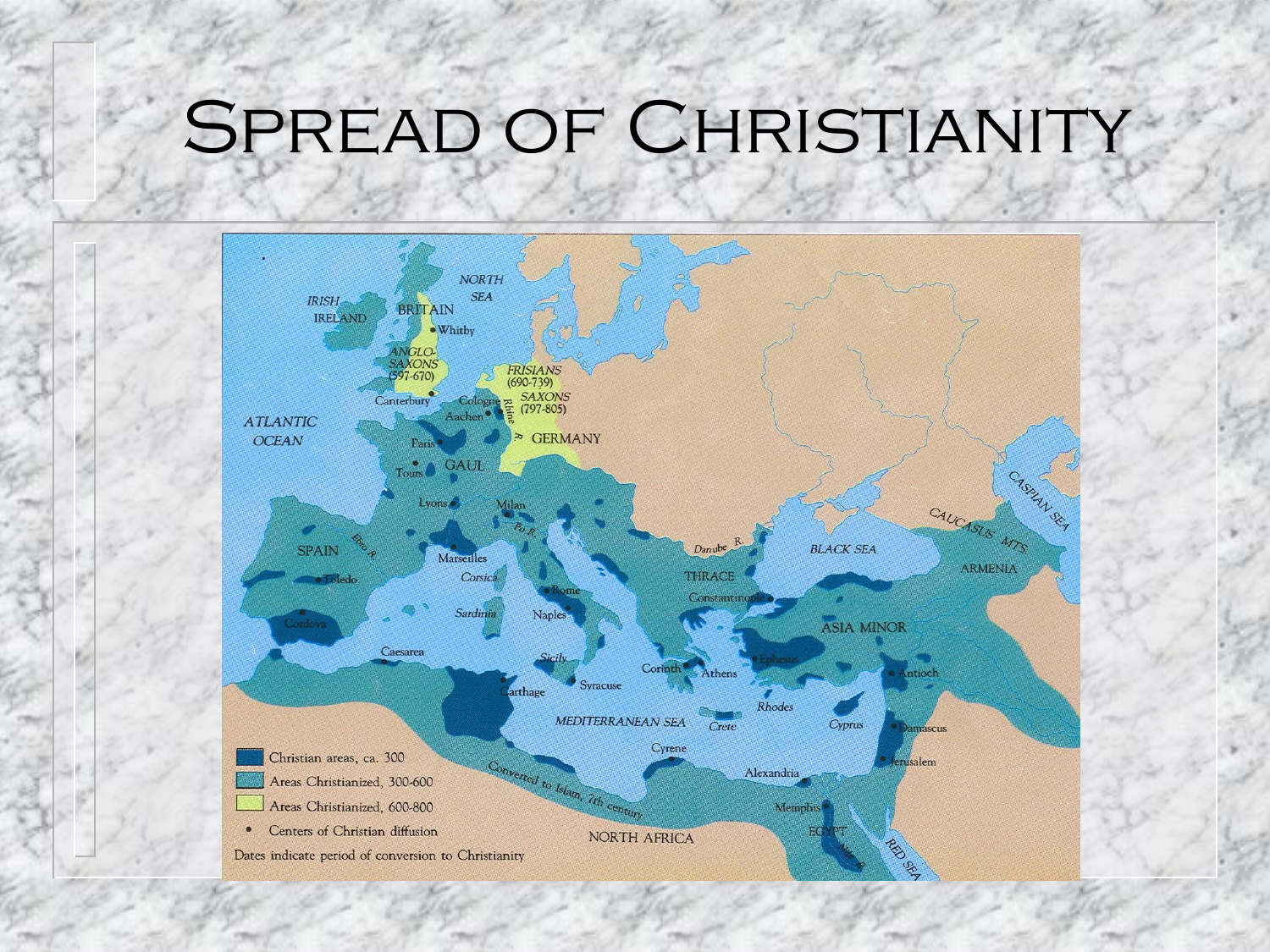### SPREAD OF CHRISTIANITY

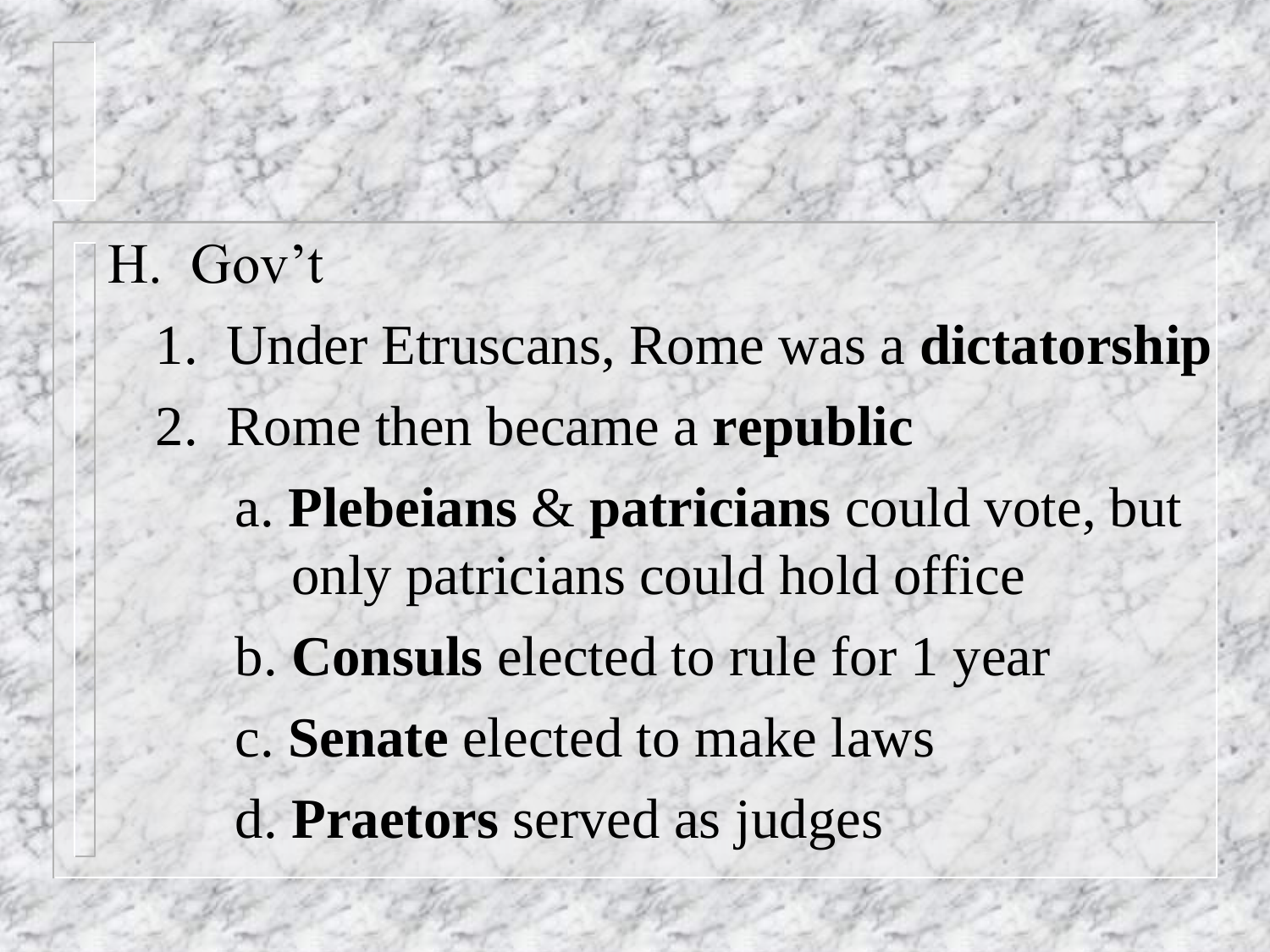#### H. Gov't

- 1. Under Etruscans, Rome was a **dictatorship**
- 2. Rome then became a **republic**
	- a. **Plebeians** & **patricians** could vote, but only patricians could hold office
	- b. **Consuls** elected to rule for 1 year
	- c. **Senate** elected to make laws
	- d. **Praetors** served as judges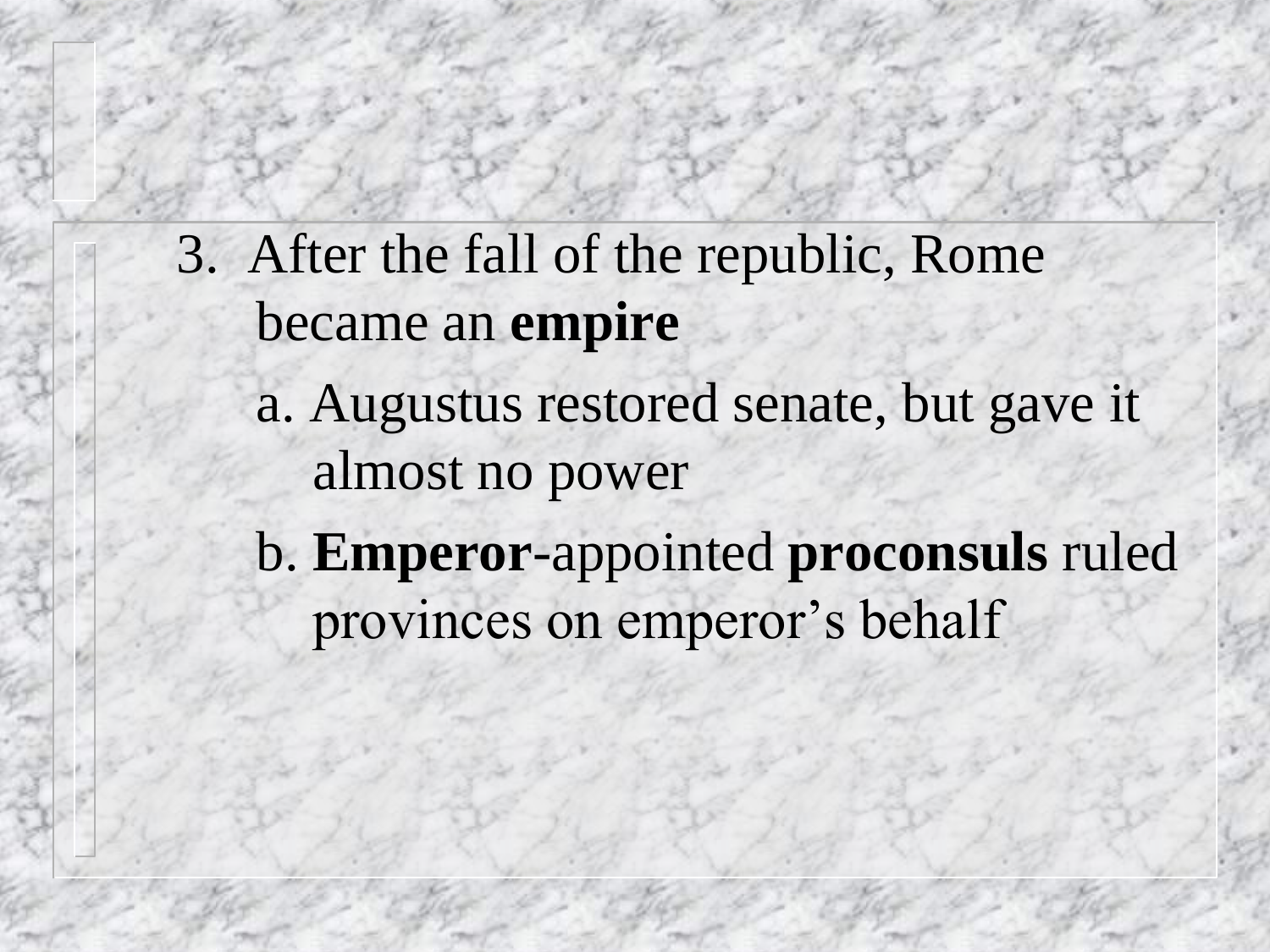- 3. After the fall of the republic, Rome became an **empire**
	- a. Augustus restored senate, but gave it almost no power
	- b. **Emperor**-appointed **proconsuls** ruled provinces on emperor's behalf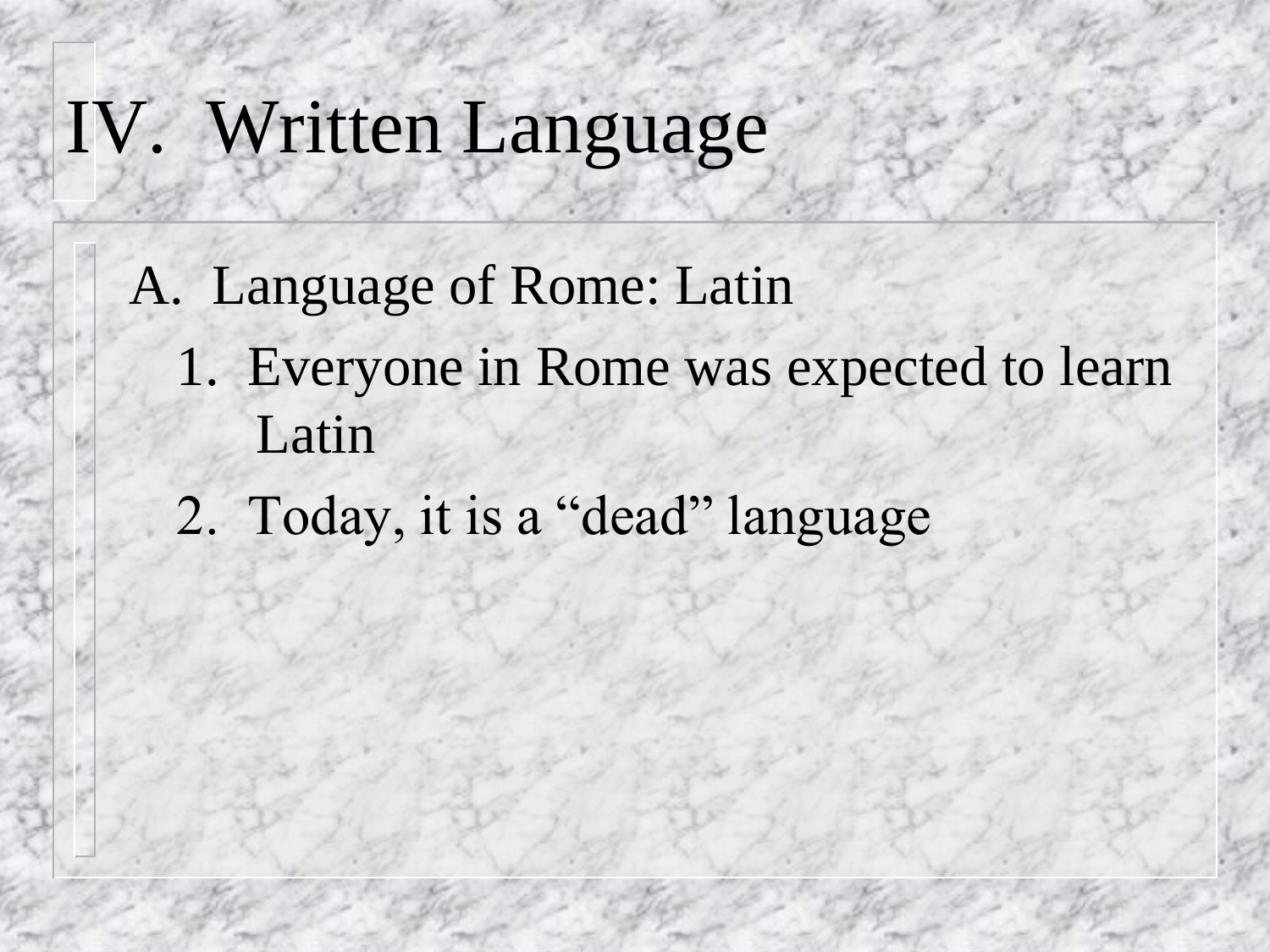### IV. Written Language

- A. Language of Rome: Latin
	- 1. Everyone in Rome was expected to learn Latin
	- 2. Today, it is a "dead" language